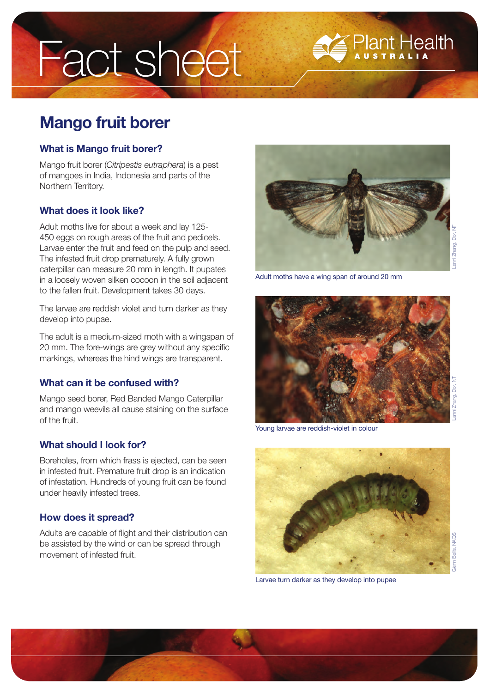# Fact sheet

# **Mango fruit borer**

#### **What is Mango fruit borer?**

Mango fruit borer (*Citripestis eutraphera*) is a pest of mangoes in India, Indonesia and parts of the Northern Territory.

## **What does it look like?**

Adult moths live for about a week and lay 125- 450 eggs on rough areas of the fruit and pedicels. Larvae enter the fruit and feed on the pulp and seed. The infested fruit drop prematurely. A fully grown caterpillar can measure 20 mm in length. It pupates in a loosely woven silken cocoon in the soil adjacent to the fallen fruit. Development takes 30 days.

The larvae are reddish violet and turn darker as they develop into pupae.

The adult is a medium-sized moth with a wingspan of 20 mm. The fore-wings are grey without any specific markings, whereas the hind wings are transparent.

## **What can it be confused with?**

Mango seed borer, Red Banded Mango Caterpillar and mango weevils all cause staining on the surface of the fruit.

## **What should I look for?**

Boreholes, from which frass is ejected, can be seen in infested fruit. Premature fruit drop is an indication of infestation. Hundreds of young fruit can be found under heavily infested trees.

## **How does it spread?**

Adults are capable of flight and their distribution can be assisted by the wind or can be spread through movement of infested fruit.



**Plant Health** 

Adult moths have a wing span of around 20 mm



Young larvae are reddish-violet in colour



Larvae turn darker as they develop into pupae